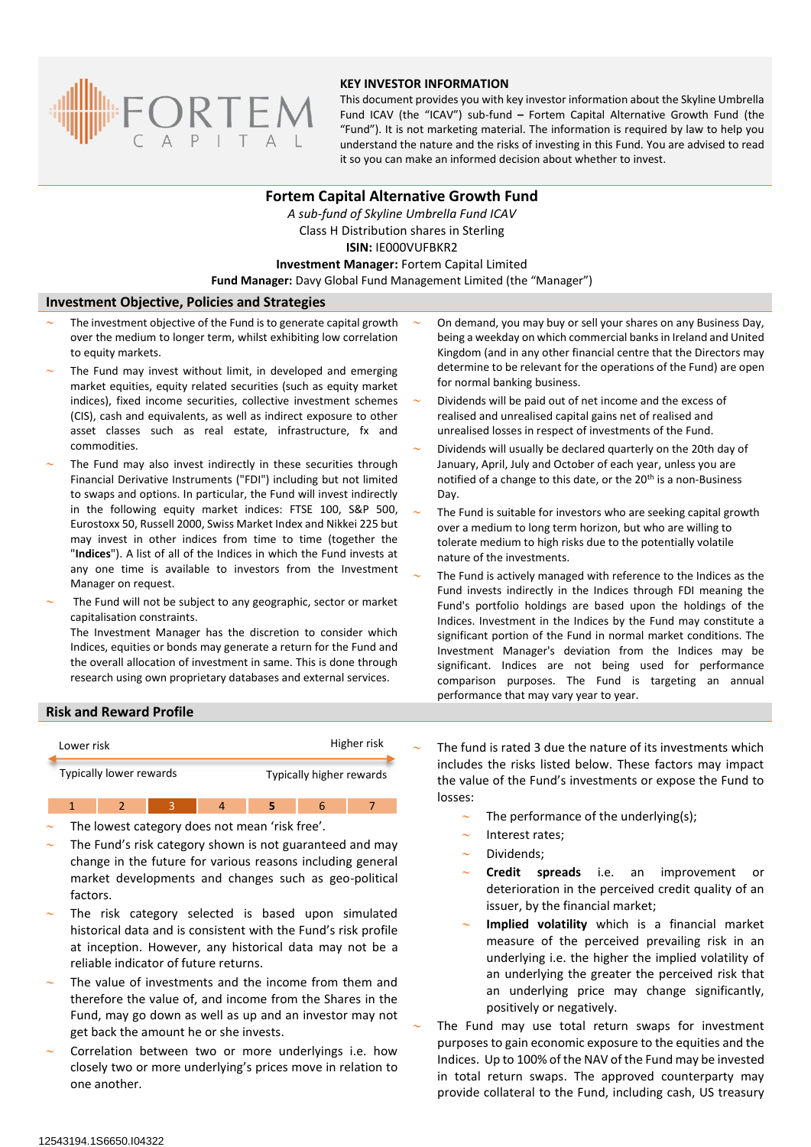

### **KEY INVESTOR INFORMATION**

This document provides you with key investor information about the Skyline Umbrella Fund ICAV (the "ICAV") sub-fund **–** Fortem Capital Alternative Growth Fund (the "Fund"). It is not marketing material. The information is required by law to help you understand the nature and the risks of investing in this Fund. You are advised to read it so you can make an informed decision about whether to invest.

# **Fortem Capital Alternative Growth Fund** *A sub-fund of Skyline Umbrella Fund ICAV* Class H Distribution shares in Sterling **ISIN:** IE000VUFBKR2 **Investment Manager:** Fortem Capital Limited **Fund Manager:** Davy Global Fund Management Limited (the "Manager")

#### **Investment Objective, Policies and Strategies**

- The investment objective of the Fund is to generate capital growth over the medium to longer term, whilst exhibiting low correlation to equity markets.
- The Fund may invest without limit, in developed and emerging market equities, equity related securities (such as equity market indices), fixed income securities, collective investment schemes (CIS), cash and equivalents, as well as indirect exposure to other asset classes such as real estate, infrastructure, fx and commodities.
- The Fund may also invest indirectly in these securities through Financial Derivative Instruments ("FDI") including but not limited to swaps and options. In particular, the Fund will invest indirectly in the following equity market indices: FTSE 100, S&P 500, Eurostoxx 50, Russell 2000, Swiss Market Index and Nikkei 225 but may invest in other indices from time to time (together the "**Indices**"). A list of all of the Indices in which the Fund invests at any one time is available to investors from the Investment Manager on request.
- The Fund will not be subject to any geographic, sector or market capitalisation constraints.

The Investment Manager has the discretion to consider which Indices, equities or bonds may generate a return for the Fund and the overall allocation of investment in same. This is done through research using own proprietary databases and external services.

- On demand, you may buy or sell your shares on any Business Day, being a weekday on which commercial banks in Ireland and United Kingdom (and in any other financial centre that the Directors may determine to be relevant for the operations of the Fund) are open for normal banking business.
- Dividends will be paid out of net income and the excess of realised and unrealised capital gains net of realised and unrealised losses in respect of investments of the Fund.
- Dividends will usually be declared quarterly on the 20th day of January, April, July and October of each year, unless you are notified of a change to this date, or the 20<sup>th</sup> is a non-Business Day.
- The Fund is suitable for investors who are seeking capital growth over a medium to long term horizon, but who are willing to tolerate medium to high risks due to the potentially volatile nature of the investments.
- The Fund is actively managed with reference to the Indices as the Fund invests indirectly in the Indices through FDI meaning the Fund's portfolio holdings are based upon the holdings of the Indices. Investment in the Indices by the Fund may constitute a significant portion of the Fund in normal market conditions. The Investment Manager's deviation from the Indices may be significant. Indices are not being used for performance comparison purposes. The Fund is targeting an annual performance that may vary year to year.

#### **Risk and Reward Profile**



- The lowest category does not mean 'risk free'.
- The Fund's risk category shown is not guaranteed and may change in the future for various reasons including general market developments and changes such as geo-political factors.
- The risk category selected is based upon simulated historical data and is consistent with the Fund's risk profile at inception. However, any historical data may not be a reliable indicator of future returns.
- The value of investments and the income from them and therefore the value of, and income from the Shares in the Fund, may go down as well as up and an investor may not get back the amount he or she invests.
- Correlation between two or more underlyings i.e. how closely two or more underlying's prices move in relation to one another.

 The fund is rated 3 due the nature of its investments which includes the risks listed below. These factors may impact the value of the Fund's investments or expose the Fund to losses:

- The performance of the underlying(s);
- Interest rates;
- Dividends;
- **Credit spreads** i.e. an improvement or deterioration in the perceived credit quality of an issuer, by the financial market;
- **Implied volatility** which is a financial market measure of the perceived prevailing risk in an underlying i.e. the higher the implied volatility of an underlying the greater the perceived risk that an underlying price may change significantly, positively or negatively.
- The Fund may use total return swaps for investment purposes to gain economic exposure to the equities and the Indices. Up to 100% of the NAV of the Fund may be invested in total return swaps. The approved counterparty may provide collateral to the Fund, including cash, US treasury